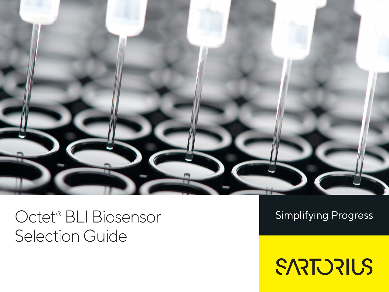

## Octet® BLI Biosensor Selection Guide

**Simplifying Progress** 

SARTORIUS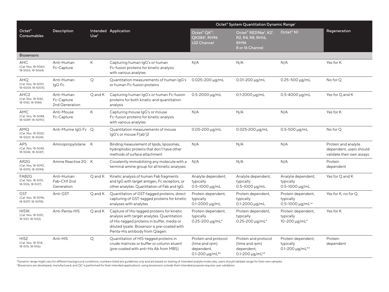|                                                                |                                            |                  |                                                                                                                                                                                                                            | Octet® System Quantitation Dynamic Range <sup>1</sup>                             |                                                                                                       |                                                              |                                                                             |
|----------------------------------------------------------------|--------------------------------------------|------------------|----------------------------------------------------------------------------------------------------------------------------------------------------------------------------------------------------------------------------|-----------------------------------------------------------------------------------|-------------------------------------------------------------------------------------------------------|--------------------------------------------------------------|-----------------------------------------------------------------------------|
| Octet <sup>®</sup><br>Consumables                              | Description                                | Use <sup>2</sup> | Intended Application                                                                                                                                                                                                       | Octet <sup>®</sup> QK <sup>e‡</sup> ,<br>QK384 <sup>‡</sup> , RH96<br>≥32 Channel | Octet® RED96e <sup>‡</sup> , K2 <sup>‡</sup> ,<br>R2, R4, R8, RH16,<br><b>RH96</b><br>8 or 16 Channel | $\mathsf{Octet}^\circledast\mathsf{N1}$                      | Regeneration                                                                |
| <b>Biosensors</b>                                              |                                            |                  |                                                                                                                                                                                                                            |                                                                                   |                                                                                                       |                                                              |                                                                             |
| <b>AHC</b><br>(Cat. Nos. 18-5060,<br>18-5063, 18-5064)         | Anti-Human<br>Fc-Capture                   | Κ                | Capturing human IgG's or human<br>Fc-fusion proteins for kinetic analysis<br>with various analytes                                                                                                                         | N/A                                                                               | N/A                                                                                                   | N/A                                                          | Yes for K                                                                   |
| <b>AHQ</b><br>(Cat. Nos. 18-5001,<br>18-5004, 18-5005)         | Anti-Human<br>IgG Fc                       | Q                | Quantitation measurements of human IqG's<br>or human Fc-fusion proteins                                                                                                                                                    | $0.025 - 200 \mu q/mL$                                                            | $0.01 - 200 \mu q/mL$                                                                                 | $0.25 - 500 \mu q/mL$                                        | No for Q                                                                    |
| AHC <sub>2</sub><br>(Cat. Nos. 18-5142,<br>18-5143, 18-5144)   | Anti-Human<br>Fc-Capture<br>2nd Generation | Q and K          | Capturing human IgG's or human Fc-fusion<br>proteins for both kinetic and quantitation<br>analysis                                                                                                                         | 0.5-2000 µg/mL                                                                    | 0.1-2000 µg/mL                                                                                        | 0.5-4000 µg/mL                                               | Yes for Q and K                                                             |
| AMC<br>(Cat. Nos. 18-5088,<br>18-5089, 18-5090)                | Anti-Mouse<br>Fc-Capture                   | Κ                | Capturing mouse IgG's or mouse<br>Fc-fusion proteins for kinetic analysis<br>with various analytes                                                                                                                         | N/A                                                                               | N/A                                                                                                   | N/A                                                          | Yes for K                                                                   |
| AMQ<br>(Cat. Nos. 18-5022,<br>18-5023, 18-5024)                | Anti-Murine IgG Fv Q                       |                  | Quantitation measurements of mouse<br>IgG's or mouse F(ab')2                                                                                                                                                               | $0.05 - 200 \mu g/mL$                                                             | 0.025-200 µg/mL                                                                                       | $0.5 - 500 \mu g/mL$                                         | No for Q                                                                    |
| <b>APS</b><br>(Cat. Nos. 18-5045,<br>18-5046, 18-5047)         | Aminopropylsilane K                        |                  | Binding measurement of lipids, liposomes,<br>hydrophobic proteins that don't have other<br>methods of surface attachment                                                                                                   | N/A                                                                               | N/A                                                                                                   | N/A                                                          | Protein and analyte<br>dependent, users should<br>validate their own assays |
| AR <sub>2</sub> G<br>(Cat. Nos. 18-5092,<br>18-5093, 18-5094)  | Amine Reactive 2G K                        |                  | Covalently immobilizing any molecule with a<br>terminal amine group for all kinetic analyses                                                                                                                               | N/A                                                                               | N/A                                                                                                   | N/A                                                          | Protein<br>dependent                                                        |
| FAB <sub>2</sub> G<br>(Cat. Nos. 18-5125,<br>18-5126, 18-5127) | Anti-Human<br>Fab-CH12nd<br>Generation     | Q and K          | Kinetic analysis of human Fab fragments<br>and IgG with target antigen, Fc receptors, or<br>other analytes. Quantitation of Fab and IgG.                                                                                   | Analyte dependent,<br>typically<br>$0.5 - 1000 \mu g/mL$                          | Analyte dependent,<br>typically<br>0.5-1000 µg/mL                                                     | Analyte dependent,<br>typically<br>0.5-1000 µg/mL            | Yes for Q and K                                                             |
| <b>GST</b><br>(Cat. Nos. 18-5096,<br>18-5097, 18-5098)         | Anti-GST                                   | Q and K          | Quantitation of GST-tagged proteins, direct<br>capturing of GST-tagged proteins for kinetic<br>analyses with analytes                                                                                                      | Protein dependent,<br>typically<br>$0.1 - 2000 \mu g/mL$                          | Protein dependent,<br>typically<br>$0.1 - 2000 \mu g/mL$                                              | Protein dependent,<br>typically<br>0.5-1000 µg/mL**          | Yes for K, no for Q                                                         |
| HIS1K<br>(Cat. Nos. 18-5120,<br>18-5121, 18-5122)              | Anti-Penta-HIS                             | Q and K          | Capture of His-tagged proteins for kinetic<br>analysis with target analytes. Quantitation<br>of His-tagged proteins in buffer, media or<br>diluted lysate. Biosensor is pre-coated with<br>Penta-His antibody from Qiagen. | Protein dependent,<br>typically<br>$0.25 - 200 \mu g/mL^*$                        | Protein dependent,<br>typically<br>$0.25 - 200 \mu q/mL^*$                                            | Protein dependent,<br>typically<br>10-200 µg/mL*             | Yes for K                                                                   |
| HIS <sub>2</sub><br>(Cat. Nos. 18-5114,<br>18-5115, 18-5116)   | Anti-HIS                                   | Q                | Quantitation of HIS-tagged proteins in<br>crude matrices or buffer or column eluent<br>(pre-coated with anti-His Ab from MBS)                                                                                              | Protein and protocol<br>(time and rpm)<br>dependent,<br>0.1-200 $\mu$ g/mL**      | Protein and protocol<br>(time and rpm)<br>dependent,<br>$0.1 - 200 \mu g/mL**$                        | Protein dependent,<br>typically<br>$0.1 - 200 \mu g/mL^{**}$ | Protein<br>dependent                                                        |

'Dynamic range might vary for different background conditions, numbers listed are guidelines only and are based on testing of intended analyte molecules, users should validate range for their own samples<br><sup>2</sup> Biosensors are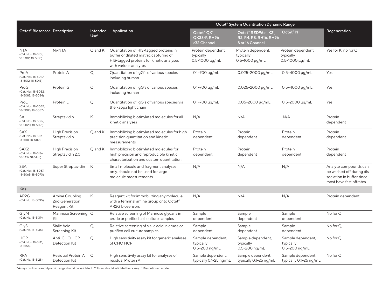|                                                              |                                                 |                              |                                                                                                                                                       | Octet <sup>®</sup> System Quantitation Dynamic Range <sup>1</sup>                 |                                                                                             |                                                          |                                                                                                            |  |
|--------------------------------------------------------------|-------------------------------------------------|------------------------------|-------------------------------------------------------------------------------------------------------------------------------------------------------|-----------------------------------------------------------------------------------|---------------------------------------------------------------------------------------------|----------------------------------------------------------|------------------------------------------------------------------------------------------------------------|--|
| Octet <sup>®</sup> Biosensor Description                     |                                                 | Intended<br>Use <sup>2</sup> | Application                                                                                                                                           | Octet <sup>®</sup> QK <sup>e‡</sup> ,<br>QK384 <sup>‡</sup> , RH96<br>≥32 Channel | Octet® RED96e <sup>‡</sup> , K2 <sup>‡</sup> ,<br>R2, R4, R8, RH16, RH96<br>8 or 16 Channel | $\mathsf{Octet}^\circ$ N1                                | Regeneration                                                                                               |  |
| <b>NTA</b><br>(Cat. Nos. 18-5101,<br>18-5102, 18-5103)       | Ni-NTA                                          | Q and K                      | Quantitation of HIS-tagged proteins in<br>buffer or diluted matrix, capturing of<br>HIS-tagged proteins for kinetic analyses<br>with various analytes | Protein dependent,<br>typically<br>$0.5 - 1000 \mu q/mL$                          | Protein dependent,<br>typically<br>$0.5 - 1000 \mu q/mL$                                    | Protein dependent,<br>typically<br>$0.5 - 1000 \mu q/mL$ | Yes for K, no for Q                                                                                        |  |
| ProA<br>(Cat. Nos. 18-5010,<br>18-5012, 18-5013)             | Protein A                                       | Q                            | Quantitation of IgG's of various species<br>including human                                                                                           | $0.1 - 700 \mu g/mL$                                                              | 0.025-2000 µg/mL                                                                            | $0.5 - 4000 \mu g/mL$                                    | Yes                                                                                                        |  |
| ProG<br>(Cat. Nos. 18-5082,<br>18-5083, 18-5084)             | Protein G                                       | Q                            | Quantitation of IgG's of various species<br>including human                                                                                           | $0.1 - 700 \mu g/mL$                                                              | 0.025-2000 µg/mL                                                                            | $0.5 - 4000 \mu g/mL$                                    | Yes                                                                                                        |  |
| ProL<br>(Cat. Nos. 18-5085,<br>18-5086, 18-5087)             | Protein L                                       | Q                            | Quantitation of IgG's of various species via<br>the kappa light chain                                                                                 | $0.1 - 700 \mu g/mL$                                                              | $0.05 - 2000 \mu g/mL$                                                                      | $0.5 - 2000 \mu g/mL$                                    | Yes                                                                                                        |  |
| SA<br>(Cat. Nos. 18-5019,<br>18-5020, 18-5021)               | Streptavidin                                    | Κ                            | Immobilizing biotinylated molecules for all<br>kinetic analyses                                                                                       | N/A                                                                               | N/A                                                                                         | N/A                                                      | Protein<br>dependent                                                                                       |  |
| <b>SAX</b><br>(Cat. Nos. 18-5117,<br>18-5118, 18-5119)       | <b>High Precision</b><br>Streptavidin           | Q and K                      | Immobilizing biotinylated molecules for high<br>precision quantitation and kinetic<br>measurements                                                    | Protein<br>dependent                                                              | Protein<br>dependent                                                                        | Protein<br>dependent                                     | Protein<br>dependent                                                                                       |  |
| SAX <sub>2</sub><br>(Cat. Nos. 18-5136,<br>18-5137, 18-5138) | <b>High Precision</b><br>Streptavidin 2.0       | Q and K                      | Immobilizing biotinylated molecules for<br>high precision and reproducible kinetic<br>characterization and custom quantitation                        | Protein<br>dependent                                                              | Protein<br>dependent                                                                        | Protein<br>dependent                                     | Protein<br>dependent                                                                                       |  |
| <b>SSA</b><br>(Cat. Nos. 18-5057,<br>18-5065, 18-5070)       | Super Streptavidin                              | K                            | Small molecule and fragment analyses<br>only, should not be used for large<br>molecule measurements                                                   | N/A                                                                               | N/A                                                                                         | N/A                                                      | Analyte compounds can<br>be washed off during dis-<br>sociation in buffer since<br>most have fast offrates |  |
| <b>Kits</b>                                                  |                                                 |                              |                                                                                                                                                       |                                                                                   |                                                                                             |                                                          |                                                                                                            |  |
| AR <sub>2</sub> G<br>(Cat. No. 18-5095)                      | Amine Coupling<br>2nd Generation<br>Reagent Kit | Κ                            | Reagent kit for immobilizing any molecule<br>with a terminal amine group onto Octet <sup>®</sup><br><b>AR2G</b> biosensors                            | N/A                                                                               | N/A                                                                                         | N/A                                                      | Protein dependent                                                                                          |  |
| GlyM<br>(Cat. No. 18-5139)                                   | Mannose Screening Q<br>Kit                      |                              | Relative screening of Mannose glycans in<br>crude or purified cell culture samples                                                                    | Sample<br>dependent                                                               | Sample<br>dependent                                                                         | Sample<br>dependent                                      | No for Q                                                                                                   |  |
| GlyS<br>(Cat. No. 18-5135)                                   | Sialic Acid<br>Screening Kit                    | Q                            | Relative screening of sialic acid in crude or<br>purified cell culture samples                                                                        | Sample<br>dependent                                                               | Sample<br>dependent                                                                         | Sample<br>dependent                                      | No for Q                                                                                                   |  |
| <b>HCP</b><br>(Cat. Nos. 18-5141,<br>$18 - 5158$             | Anti-CHO HCP<br>Detection Kit                   | Q                            | High sensitivity assay kit for generic analyses<br>of CHO HCP                                                                                         | Sample dependent,<br>typically<br>0.5-200 ng/mL                                   | Sample dependent,<br>typically<br>0.5-200 ng/mL                                             | Sample dependent,<br>typically<br>0.5-200 ng/mL          | No for Q                                                                                                   |  |
| <b>RPA</b><br>(Cat. No. 18-5128)                             | Residual Protein A<br>Detection Kit             | $\mathsf{Q}$                 | High sensitivity assay kit for analyses of<br>residual Protein A                                                                                      | Sample dependent,<br>typically 0.1-25 ng/mL                                       | Sample dependent,<br>typically 0.1-25 ng/mL                                                 | Sample dependent,<br>typically 0.1-25 ng/mL              | No for Q                                                                                                   |  |

\*Assay conditions and dynamic range should be validated \*\* Users should validate their assay ‡ Discontinued model